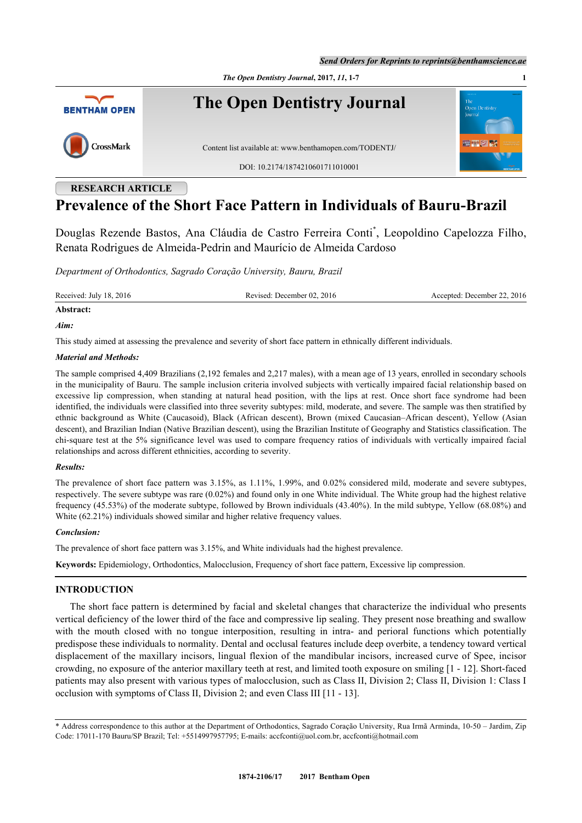*Send Orders for Reprints to reprints@benthamscience.ae*



# **RESEARCH ARTICLE**

# **Prevalence of the Short Face Pattern in Individuals of Bauru-Brazil**

Douglas Rezende Bastos, Ana Cláudia de Castro Ferreira Conti[\\*](#page-0-0) , Leopoldino Capelozza Filho, Renata Rodrigues de Almeida-Pedrin and Maurício de Almeida Cardoso

*Department of Orthodontics, Sagrado Coração University, Bauru, Brazil*

Received: July 18, 2016 Revised: December 02, 2016 Accepted: December 22, 2016

# **Abstract:**

## *Aim:*

This study aimed at assessing the prevalence and severity of short face pattern in ethnically different individuals.

## *Material and Methods:*

The sample comprised 4,409 Brazilians (2,192 females and 2,217 males), with a mean age of 13 years, enrolled in secondary schools in the municipality of Bauru. The sample inclusion criteria involved subjects with vertically impaired facial relationship based on excessive lip compression, when standing at natural head position, with the lips at rest. Once short face syndrome had been identified, the individuals were classified into three severity subtypes: mild, moderate, and severe. The sample was then stratified by ethnic background as White (Caucasoid), Black (African descent), Brown (mixed Caucasian–African descent), Yellow (Asian descent), and Brazilian Indian (Native Brazilian descent), using the Brazilian Institute of Geography and Statistics classification. The chi-square test at the 5% significance level was used to compare frequency ratios of individuals with vertically impaired facial relationships and across different ethnicities, according to severity.

## *Results:*

The prevalence of short face pattern was 3.15%, as 1.11%, 1.99%, and 0.02% considered mild, moderate and severe subtypes, respectively. The severe subtype was rare (0.02%) and found only in one White individual. The White group had the highest relative frequency (45.53%) of the moderate subtype, followed by Brown individuals (43.40%). In the mild subtype, Yellow (68.08%) and White (62.21%) individuals showed similar and higher relative frequency values.

## *Conclusion:*

The prevalence of short face pattern was 3.15%, and White individuals had the highest prevalence.

**Keywords:** Epidemiology, Orthodontics, Malocclusion, Frequency of short face pattern, Excessive lip compression.

## **INTRODUCTION**

The short face pattern is determined by facial and skeletal changes that characterize the individual who presents vertical deficiency of the lower third of the face and compressive lip sealing. They present nose breathing and swallow with the mouth closed with no tongue interposition, resulting in intra- and perioral functions which potentially predispose these individuals to normality. Dental and occlusal features include deep overbite, a tendency toward vertical displacement of the maxillary incisors, lingual flexion of the mandibular incisors, increased curve of Spee, incisor crowding, no exposure of the anterior maxillary teeth at rest, and limited tooth exposure on smiling [\[1](#page-5-0) - [12\]](#page-6-0). Short-faced patients may also present with various types of malocclusion, such as Class II, Division 2; Class II, Division 1: Class I occlusion with symptoms of Class II, Division 2; and even Class III [[11](#page-6-1) - [13\]](#page-6-2).

<span id="page-0-0"></span><sup>\*</sup> Address correspondence to this author at the Department of Orthodontics, Sagrado Coração University, Rua Irmã Arminda, 10-50 – Jardim, Zip Code: 17011-170 Bauru/SP Brazil; Tel: +5514997957795; E-mails: [accfconti@uol.com.br](mailto:accfconti@uol.com.br), [accfconti@hotmail.com](mailto:accfconti@hotmail.com)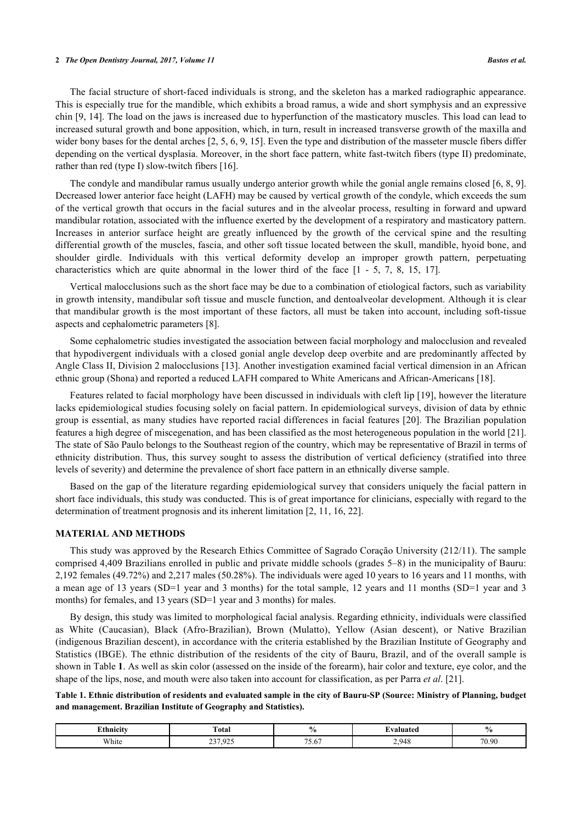#### **2** *The Open Dentistry Journal, 2017, Volume 11 Bastos et al.*

The facial structure of short-faced individuals is strong, and the skeleton has a marked radiographic appearance. This is especially true for the mandible, which exhibits a broad ramus, a wide and short symphysis and an expressive chin [\[9,](#page-6-3) [14](#page-6-4)]. The load on the jaws is increased due to hyperfunction of the masticatory muscles. This load can lead to increased sutural growth and bone apposition, which, in turn, result in increased transverse growth of the maxilla and wider bony bases for the dental arches [[2,](#page-5-1) [5,](#page-6-5) [6,](#page-6-6) [9,](#page-6-3) [15\]](#page-6-7). Even the type and distribution of the masseter muscle fibers differ depending on the vertical dysplasia. Moreover, in the short face pattern, white fast-twitch fibers (type II) predominate, rather than red (type I) slow-twitch fibers [\[16](#page-6-8)].

The condyle and mandibular ramus usually undergo anterior growth while the gonial angle remains closed [\[6](#page-6-6), [8,](#page-6-9) [9\]](#page-6-3). Decreased lower anterior face height (LAFH) may be caused by vertical growth of the condyle, which exceeds the sum of the vertical growth that occurs in the facial sutures and in the alveolar process, resulting in forward and upward mandibular rotation, associated with the influence exerted by the development of a respiratory and masticatory pattern. Increases in anterior surface height are greatly influenced by the growth of the cervical spine and the resulting differential growth of the muscles, fascia, and other soft tissue located between the skull, mandible, hyoid bone, and shoulder girdle. Individuals with this vertical deformity develop an improper growth pattern, perpetuating characteristics which are quite abnormal in the lower third of the face[[1](#page-5-0) - [5,](#page-6-5) [7,](#page-6-10) [8,](#page-6-9) [15,](#page-6-7) [17\]](#page-6-11).

Vertical malocclusions such as the short face may be due to a combination of etiological factors, such as variability in growth intensity, mandibular soft tissue and muscle function, and dentoalveolar development. Although it is clear that mandibular growth is the most important of these factors, all must be taken into account, including soft-tissue aspects and cephalometric parameters [[8\]](#page-6-9).

Some cephalometric studies investigated the association between facial morphology and malocclusion and revealed that hypodivergent individuals with a closed gonial angle develop deep overbite and are predominantly affected by Angle Class II, Division 2 malocclusions [\[13](#page-6-2)]. Another investigation examined facial vertical dimension in an African ethnic group (Shona) and reported a reduced LAFH compared to White Americans and African-Americans [\[18](#page-6-12)].

Features related to facial morphology have been discussed in individuals with cleft lip [\[19](#page-6-13)], however the literature lacks epidemiological studies focusing solely on facial pattern. In epidemiological surveys, division of data by ethnic group is essential, as many studies have reported racial differences in facial features [[20\]](#page-6-14). The Brazilian population features a high degree of miscegenation, and has been classified as the most heterogeneous population in the world [[21\]](#page-6-15). The state of São Paulo belongs to the Southeast region of the country, which may be representative of Brazil in terms of ethnicity distribution. Thus, this survey sought to assess the distribution of vertical deficiency (stratified into three levels of severity) and determine the prevalence of short face pattern in an ethnically diverse sample.

Based on the gap of the literature regarding epidemiological survey that considers uniquely the facial pattern in short face individuals, this study was conducted. This is of great importance for clinicians, especially with regard to the determination of treatment prognosis and its inherent limitation [\[2](#page-5-1), [11](#page-6-1), [16](#page-6-8), [22](#page-6-16)].

## **MATERIAL AND METHODS**

This study was approved by the Research Ethics Committee of Sagrado Coração University (212/11). The sample comprised 4,409 Brazilians enrolled in public and private middle schools (grades 5–8) in the municipality of Bauru: 2,192 females (49.72%) and 2,217 males (50.28%). The individuals were aged 10 years to 16 years and 11 months, with a mean age of 13 years (SD=1 year and 3 months) for the total sample, 12 years and 11 months (SD=1 year and 3 months) for females, and 13 years (SD=1 year and 3 months) for males.

By design, this study was limited to morphological facial analysis. Regarding ethnicity, individuals were classified as White (Caucasian), Black (Afro-Brazilian), Brown (Mulatto), Yellow (Asian descent), or Native Brazilian (indigenous Brazilian descent), in accordance with the criteria established by the Brazilian Institute of Geography and Statistics (IBGE). The ethnic distribution of the residents of the city of Bauru, Brazil, and of the overall sample is shown in Table **[1](#page-1-0)**. As well as skin color (assessed on the inside of the forearm), hair color and texture, eye color, and the shape of the lips, nose, and mouth were also taken into account for classification, as per Parra *et al*. [\[21](#page-6-15)].

<span id="page-1-0"></span>**Table 1. Ethnic distribution of residents and evaluated sample in the city of Bauru-SP (Source: Ministry of Planning, budget and management. Brazilian Institute of Geography and Statistics).**

| <b>Ethnicii</b> | <b>otal</b>                                                       |               | .                    | œ                       |
|-----------------|-------------------------------------------------------------------|---------------|----------------------|-------------------------|
| White           | $\sim$ $\sim$ $\sim$<br>$\sim$<br>u<br>ا ت ک<br>ر بار .<br>$\sim$ | $- -$<br>0.01 | $\Omega$<br>т.<br>-- | 70.QC<br>$\mathsf{v}$ . |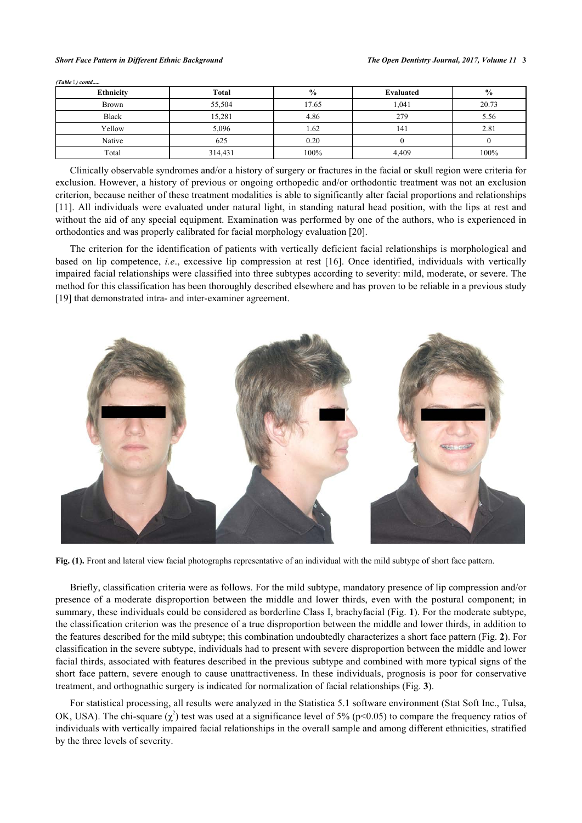#### *Short Face Pattern in Different Ethnic Background The Open Dentistry Journal, 2017, Volume 11* **3**

| <b>Ethnicity</b> | Total   | $\frac{0}{0}$ | Evaluated | $\frac{0}{0}$ |
|------------------|---------|---------------|-----------|---------------|
| <b>Brown</b>     | 55,504  | 17.65         | 1,041     | 20.73         |
| <b>Black</b>     | 15,281  | 4.86          | 279       | 5.56          |
| Yellow           | 5,096   | 1.62          | 141       | 2.81          |
| Native           | 625     | 0.20          |           |               |
| Total            | 314,431 | 100%          | 4,409     | 100%          |

Clinically observable syndromes and/or a history of surgery or fractures in the facial or skull region were criteria for exclusion. However, a history of previous or ongoing orthopedic and/or orthodontic treatment was not an exclusion criterion, because neither of these treatment modalities is able to significantly alter facial proportions and relationships [\[11](#page-6-1)]. All individuals were evaluated under natural light, in standing natural head position, with the lips at rest and without the aid of any special equipment. Examination was performed by one of the authors, who is experienced in orthodontics and was properly calibrated for facial morphology evaluation [\[20](#page-6-14)].

The criterion for the identification of patients with vertically deficient facial relationships is morphological and based on lip competence, *i.e*., excessive lip compression at rest[[16](#page-6-8)]. Once identified, individuals with vertically impaired facial relationships were classified into three subtypes according to severity: mild, moderate, or severe. The method for this classification has been thoroughly described elsewhere and has proven to be reliable in a previous study [\[19](#page-6-13)] that demonstrated intra- and inter-examiner agreement.

<span id="page-2-0"></span>

Fig. (1). Front and lateral view facial photographs representative of an individual with the mild subtype of short face pattern.

Briefly, classification criteria were as follows. For the mild subtype, mandatory presence of lip compression and/or presence of a moderate disproportion between the middle and lower thirds, even with the postural component; in summary, these individuals could be considered as borderline Class I, brachyfacial (Fig. **[1](#page-2-0)**). For the moderate subtype, the classification criterion was the presence of a true disproportion between the middle and lower thirds, in addition to the features described for the mild subtype; this combination undoubtedly characterizes a short face pattern (Fig. **[2](#page-3-0)**). For classification in the severe subtype, individuals had to present with severe disproportion between the middle and lower facial thirds, associated with features described in the previous subtype and combined with more typical signs of the short face pattern, severe enough to cause unattractiveness. In these individuals, prognosis is poor for conservative treatment, and orthognathic surgery is indicated for normalization of facial relationships (Fig. **[3](#page-3-1)**).

For statistical processing, all results were analyzed in the Statistica 5.1 software environment (Stat Soft Inc., Tulsa, OK, USA). The chi-square  $(\chi^2)$  test was used at a significance level of 5% (p<0.05) to compare the frequency ratios of individuals with vertically impaired facial relationships in the overall sample and among different ethnicities, stratified by the three levels of severity.

*(Table ) contd.....*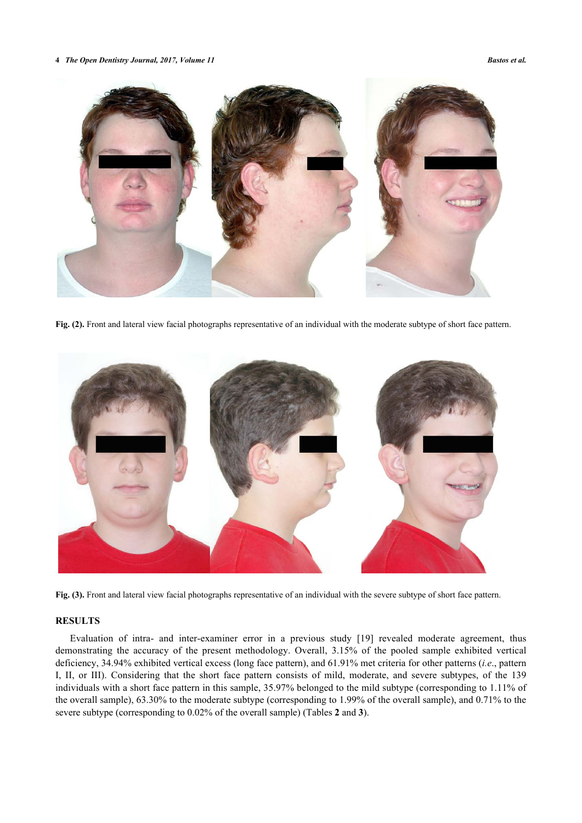**4** *The Open Dentistry Journal, 2017, Volume 11 Bastos et al.*

<span id="page-3-0"></span>

**Fig. (2).** Front and lateral view facial photographs representative of an individual with the moderate subtype of short face pattern.

<span id="page-3-1"></span>

**Fig. (3).** Front and lateral view facial photographs representative of an individual with the severe subtype of short face pattern.

# **RESULTS**

Evaluation of intra- and inter-examiner error in a previous study[[19\]](#page-6-13) revealed moderate agreement, thus demonstrating the accuracy of the present methodology. Overall, 3.15% of the pooled sample exhibited vertical deficiency, 34.94% exhibited vertical excess (long face pattern), and 61.91% met criteria for other patterns (*i.e*., pattern I, II, or III). Considering that the short face pattern consists of mild, moderate, and severe subtypes, of the 139 individuals with a short face pattern in this sample, 35.97% belonged to the mild subtype (corresponding to 1.11% of the overall sample), 63.30% to the moderate subtype (corresponding to 1.99% of the overall sample), and 0.71% to the severe subtype (corresponding to 0.02% of the overall sample) (Tables **[2](#page-4-0)** and **[3](#page-4-1)**).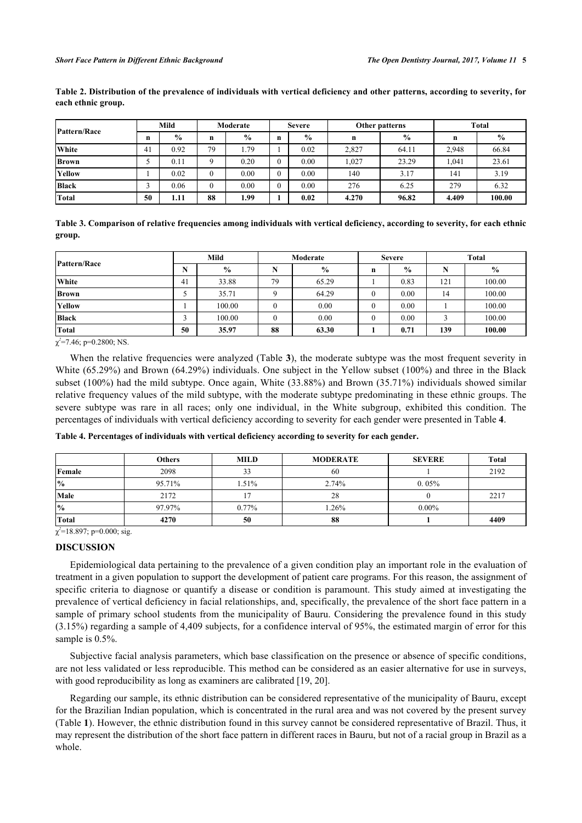| Pattern/Race | Mild |               | Moderate |               | <b>Severe</b> |               | Other patterns |       | <b>Total</b> |               |
|--------------|------|---------------|----------|---------------|---------------|---------------|----------------|-------|--------------|---------------|
|              | n    | $\frac{0}{0}$ | n        | $\frac{6}{9}$ | $\mathbf n$   | $\frac{0}{0}$ | n              | $\%$  | n            | $\frac{0}{0}$ |
| <b>White</b> | 41   | 0.92          | 79       | 1.79          |               | 0.02          | 2,827          | 64.11 | 2.948        | 66.84         |
| <b>Brown</b> |      | 0.11          |          | 0.20          | $\theta$      | 0.00          | 1,027          | 23.29 | .041         | 23.61         |
| Yellow       |      | 0.02          |          | 0.00          | $\theta$      | 0.00          | 140            | 3.17  | 141          | 3.19          |
| <b>Black</b> |      | 0.06          |          | 0.00          |               | 0.00          | 276            | 6.25  | 279          | 6.32          |
| Total        | 50   | 1.11          | 88       | 1.99          |               | 0.02          | 4.270          | 96.82 | 4.409        | 100.00        |

<span id="page-4-0"></span>**Table 2. Distribution of the prevalence of individuals with vertical deficiency and other patterns, according to severity, for each ethnic group.**

<span id="page-4-1"></span>**Table 3. Comparison of relative frequencies among individuals with vertical deficiency, according to severity, for each ethnic group.**

| Pattern/Race | Mild |               | Moderate |               | <b>Severe</b> |               | <b>Total</b> |               |
|--------------|------|---------------|----------|---------------|---------------|---------------|--------------|---------------|
|              | N    | $\frac{6}{9}$ |          | $\frac{0}{0}$ | n             | $\frac{6}{9}$ |              | $\frac{0}{0}$ |
| White        | 41   | 33.88         | 79       | 65.29         |               | 0.83          | 121          | 100.00        |
| <b>Brown</b> |      | 35.71         |          | 64.29         | U             | 0.00          | 14           | 100.00        |
| Yellow       |      | 100.00        |          | 0.00          | 0             | $0.00\,$      |              | 100.00        |
| <b>Black</b> |      | 100.00        |          | 0.00          | U             | 0.00          |              | 100.00        |
| <b>Total</b> | 50   | 35.97         | 88       | 63.30         |               | 0.71          | 139          | 100.00        |

 $\chi^2$ =7.46; p=0.2800; NS.

When the relative frequencies were analyzed (Table [3](#page-4-1)), the moderate subtype was the most frequent severity in White (65.29%) and Brown (64.29%) individuals. One subject in the Yellow subset (100%) and three in the Black subset (100%) had the mild subtype. Once again, White (33.88%) and Brown (35.71%) individuals showed similar relative frequency values of the mild subtype, with the moderate subtype predominating in these ethnic groups. The severe subtype was rare in all races; only one individual, in the White subgroup, exhibited this condition. The percentages of individuals with vertical deficiency according to severity for each gender were presented in Table **[4](#page-4-2)**.

|               | <b>Others</b> | <b>MILD</b> | <b>MODERATE</b> | <b>SEVERE</b> | Total |
|---------------|---------------|-------------|-----------------|---------------|-------|
| Female        | 2098          | 33          | 60              |               | 2192  |
| $\frac{9}{6}$ | 95.71%        | 1.51%       | 2.74%           | 0.05%         |       |
| Male          | 2172          |             | 28              |               | 2217  |
| $\frac{9}{6}$ | 97.97%        | 0.77%       | 1.26%           | $0.00\%$      |       |
| <b>Total</b>  | 4270          | 50          | 88              |               | 4409  |

<span id="page-4-2"></span>**Table 4. Percentages of individuals with vertical deficiency according to severity for each gender.**

 $\chi^2$ =18.897; p=0.000; sig.

## **DISCUSSION**

Epidemiological data pertaining to the prevalence of a given condition play an important role in the evaluation of treatment in a given population to support the development of patient care programs. For this reason, the assignment of specific criteria to diagnose or quantify a disease or condition is paramount. This study aimed at investigating the prevalence of vertical deficiency in facial relationships, and, specifically, the prevalence of the short face pattern in a sample of primary school students from the municipality of Bauru. Considering the prevalence found in this study (3.15%) regarding a sample of 4,409 subjects, for a confidence interval of 95%, the estimated margin of error for this sample is  $0.5\%$ .

Subjective facial analysis parameters, which base classification on the presence or absence of specific conditions, are not less validated or less reproducible. This method can be considered as an easier alternative for use in surveys, with good reproducibility as long as examiners are calibrated [[19,](#page-6-13) [20\]](#page-6-14).

Regarding our sample, its ethnic distribution can be considered representative of the municipality of Bauru, except for the Brazilian Indian population, which is concentrated in the rural area and was not covered by the present survey (Table **[1](#page-1-0)**). However, the ethnic distribution found in this survey cannot be considered representative of Brazil. Thus, it may represent the distribution of the short face pattern in different races in Bauru, but not of a racial group in Brazil as a whole.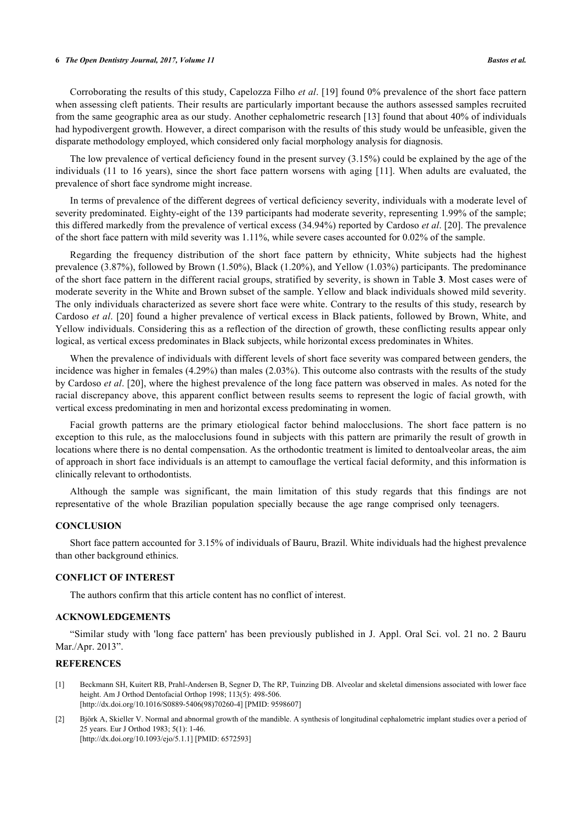#### **6** *The Open Dentistry Journal, 2017, Volume 11 Bastos et al.*

Corroborating the results of this study, Capelozza Filho *et al*. [[19\]](#page-6-13) found 0% prevalence of the short face pattern when assessing cleft patients. Their results are particularly important because the authors assessed samples recruited from the same geographic area as our study. Another cephalometric research [\[13\]](#page-6-2) found that about 40% of individuals had hypodivergent growth. However, a direct comparison with the results of this study would be unfeasible, given the disparate methodology employed, which considered only facial morphology analysis for diagnosis.

The low prevalence of vertical deficiency found in the present survey (3.15%) could be explained by the age of the individuals (11 to 16 years), since the short face pattern worsens with aging [[11](#page-6-1)]. When adults are evaluated, the prevalence of short face syndrome might increase.

In terms of prevalence of the different degrees of vertical deficiency severity, individuals with a moderate level of severity predominated. Eighty-eight of the 139 participants had moderate severity, representing 1.99% of the sample; this differed markedly from the prevalence of vertical excess (34.94%) reported by Cardoso *et al*. [[20](#page-6-14)]. The prevalence of the short face pattern with mild severity was 1.11%, while severe cases accounted for 0.02% of the sample.

Regarding the frequency distribution of the short face pattern by ethnicity, White subjects had the highest prevalence (3.87%), followed by Brown (1.50%), Black (1.20%), and Yellow (1.03%) participants. The predominance of the short face pattern in the different racial groups, stratified by severity, is shown in Table **[3](#page-4-1)**. Most cases were of moderate severity in the White and Brown subset of the sample. Yellow and black individuals showed mild severity. The only individuals characterized as severe short face were white. Contrary to the results of this study, research by Cardoso *et al*. [[20\]](#page-6-14) found a higher prevalence of vertical excess in Black patients, followed by Brown, White, and Yellow individuals. Considering this as a reflection of the direction of growth, these conflicting results appear only logical, as vertical excess predominates in Black subjects, while horizontal excess predominates in Whites.

When the prevalence of individuals with different levels of short face severity was compared between genders, the incidence was higher in females (4.29%) than males (2.03%). This outcome also contrasts with the results of the study by Cardoso *et al*. [\[20\]](#page-6-14), where the highest prevalence of the long face pattern was observed in males. As noted for the racial discrepancy above, this apparent conflict between results seems to represent the logic of facial growth, with vertical excess predominating in men and horizontal excess predominating in women.

Facial growth patterns are the primary etiological factor behind malocclusions. The short face pattern is no exception to this rule, as the malocclusions found in subjects with this pattern are primarily the result of growth in locations where there is no dental compensation. As the orthodontic treatment is limited to dentoalveolar areas, the aim of approach in short face individuals is an attempt to camouflage the vertical facial deformity, and this information is clinically relevant to orthodontists.

Although the sample was significant, the main limitation of this study regards that this findings are not representative of the whole Brazilian population specially because the age range comprised only teenagers.

#### **CONCLUSION**

Short face pattern accounted for 3.15% of individuals of Bauru, Brazil. White individuals had the highest prevalence than other background ethinics.

## **CONFLICT OF INTEREST**

The authors confirm that this article content has no conflict of interest.

#### **ACKNOWLEDGEMENTS**

"Similar study with 'long face pattern' has been previously published in J. Appl. Oral Sci. vol. 21 no. 2 Bauru Mar./Apr. 2013".

#### **REFERENCES**

- <span id="page-5-0"></span>[1] Beckmann SH, Kuitert RB, Prahl-Andersen B, Segner D, The RP, Tuinzing DB. Alveolar and skeletal dimensions associated with lower face height. Am J Orthod Dentofacial Orthop 1998; 113(5): 498-506. [\[http://dx.doi.org/10.1016/S0889-5406\(98\)70260-4\]](http://dx.doi.org/10.1016/S0889-5406(98)70260-4) [PMID: [9598607](http://www.ncbi.nlm.nih.gov/pubmed/9598607)]
- <span id="page-5-1"></span>[2] Björk A, Skieller V. Normal and abnormal growth of the mandible. A synthesis of longitudinal cephalometric implant studies over a period of 25 years. Eur J Orthod 1983; 5(1): 1-46. [\[http://dx.doi.org/10.1093/ejo/5.1.1\]](http://dx.doi.org/10.1093/ejo/5.1.1) [PMID: [6572593](http://www.ncbi.nlm.nih.gov/pubmed/6572593)]